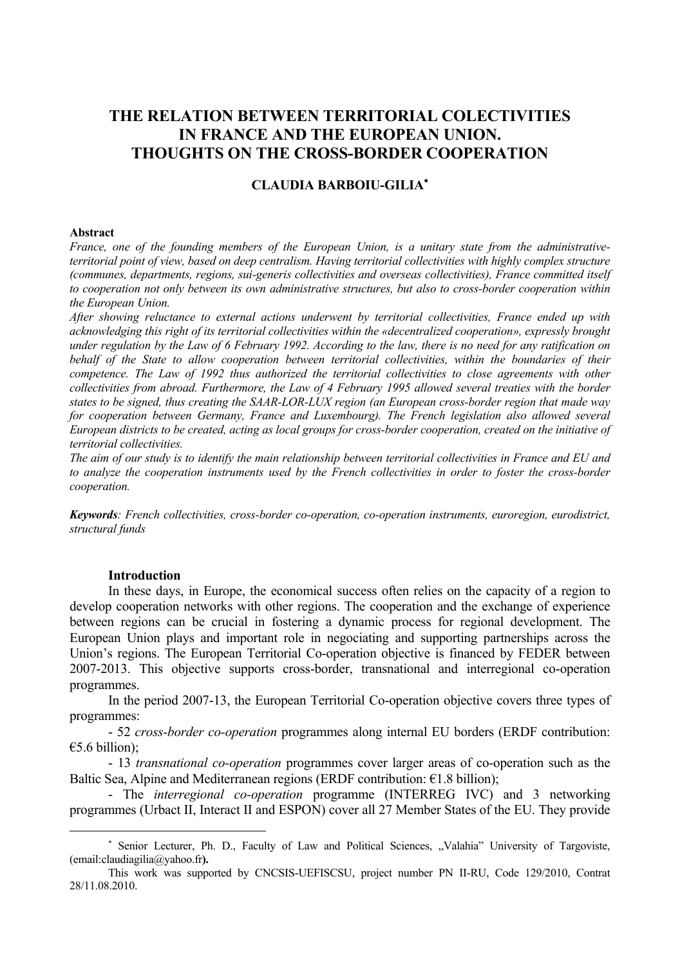# **THE RELATION BETWEEN TERRITORIAL COLECTIVITIES IN FRANCE AND THE EUROPEAN UNION. THOUGHTS ON THE CROSS-BORDER COOPERATION**

# **CLAUDIA BARBOIU-GILIA**<sup>∗</sup>

#### **Abstract**

*France, one of the founding members of the European Union, is a unitary state from the administrativeterritorial point of view, based on deep centralism. Having territorial collectivities with highly complex structure (communes, departments, regions, sui-generis collectivities and overseas collectivities), France committed itself to cooperation not only between its own administrative structures, but also to cross-border cooperation within the European Union.* 

*After showing reluctance to external actions underwent by territorial collectivities, France ended up with acknowledging this right of its territorial collectivities within the «decentralized cooperation», expressly brought under regulation by the Law of 6 February 1992. According to the law, there is no need for any ratification on behalf of the State to allow cooperation between territorial collectivities, within the boundaries of their competence. The Law of 1992 thus authorized the territorial collectivities to close agreements with other collectivities from abroad. Furthermore, the Law of 4 February 1995 allowed several treaties with the border states to be signed, thus creating the SAAR-LOR-LUX region (an European cross-border region that made way for cooperation between Germany, France and Luxembourg). The French legislation also allowed several European districts to be created, acting as local groups for cross-border cooperation, created on the initiative of territorial collectivities.* 

*The aim of our study is to identify the main relationship between territorial collectivities in France and EU and to analyze the cooperation instruments used by the French collectivities in order to foster the cross-border cooperation.* 

*Keywords: French collectivities, cross-border co-operation, co-operation instruments, euroregion, eurodistrict, structural funds* 

#### **Introduction**

 $\overline{a}$ 

In these days, in Europe, the economical success often relies on the capacity of a region to develop cooperation networks with other regions. The cooperation and the exchange of experience between regions can be crucial in fostering a dynamic process for regional development. The European Union plays and important role in negociating and supporting partnerships across the Union's regions. The European Territorial Co-operation objective is financed by FEDER between 2007-2013. This objective supports cross-border, transnational and interregional co-operation programmes.

In the period 2007-13, the European Territorial Co-operation objective covers three types of programmes:

- 52 *cross-border co-operation* programmes along internal EU borders (ERDF contribution:  $€5.6$  billion):

- 13 *transnational co-operation* programmes cover larger areas of co-operation such as the Baltic Sea, Alpine and Mediterranean regions (ERDF contribution:  $E1.8$  billion);

- The *interregional co-operation* programme (INTERREG IVC) and 3 networking programmes (Urbact II, Interact II and ESPON) cover all 27 Member States of the EU. They provide

<sup>\*</sup> Senior Lecturer, Ph. D., Faculty of Law and Political Sciences, "Valahia" University of Targoviste, (email:claudiagilia@yahoo.fr**).** 

This work was supported by CNCSIS-UEFISCSU, project number PN II-RU, Code 129/2010, Contrat 28/11.08.2010.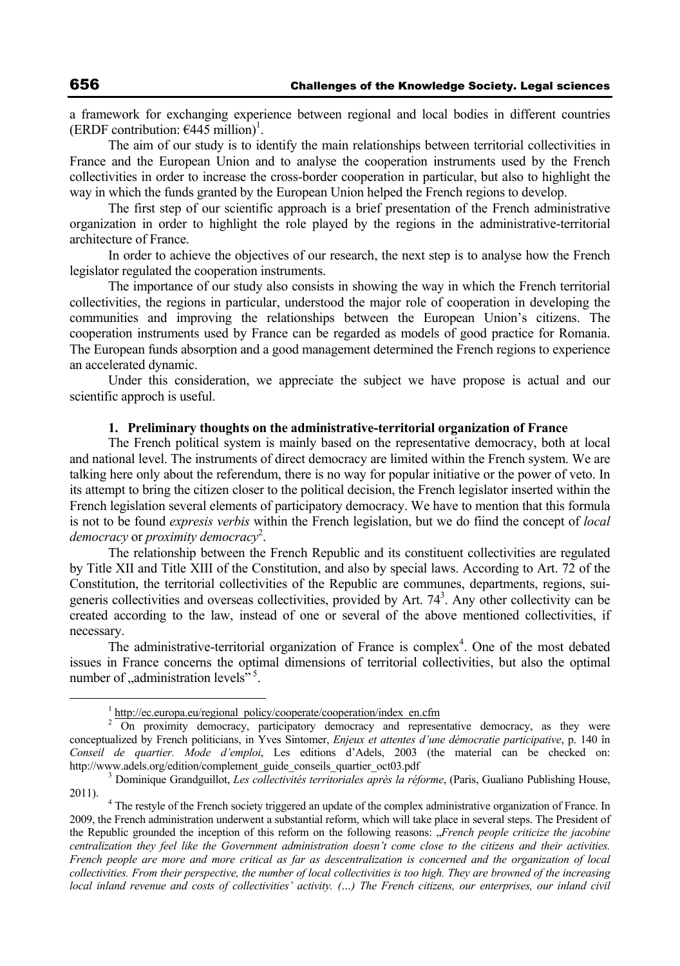a framework for exchanging experience between regional and local bodies in different countries (ERDF contribution:  $\epsilon$ 445 million)<sup>1</sup>.

The aim of our study is to identify the main relationships between territorial collectivities in France and the European Union and to analyse the cooperation instruments used by the French collectivities in order to increase the cross-border cooperation in particular, but also to highlight the way in which the funds granted by the European Union helped the French regions to develop.

The first step of our scientific approach is a brief presentation of the French administrative organization in order to highlight the role played by the regions in the administrative-territorial architecture of France.

In order to achieve the objectives of our research, the next step is to analyse how the French legislator regulated the cooperation instruments.

The importance of our study also consists in showing the way in which the French territorial collectivities, the regions in particular, understood the major role of cooperation in developing the communities and improving the relationships between the European Union's citizens. The cooperation instruments used by France can be regarded as models of good practice for Romania. The European funds absorption and a good management determined the French regions to experience an accelerated dynamic.

Under this consideration, we appreciate the subject we have propose is actual and our scientific approch is useful.

#### **1. Preliminary thoughts on the administrative-territorial organization of France**

The French political system is mainly based on the representative democracy, both at local and national level. The instruments of direct democracy are limited within the French system. We are talking here only about the referendum, there is no way for popular initiative or the power of veto. In its attempt to bring the citizen closer to the political decision, the French legislator inserted within the French legislation several elements of participatory democracy. We have to mention that this formula is not to be found *expresis verbis* within the French legislation, but we do fiind the concept of *local democracy* or *proximity democracy*<sup>2</sup> .

The relationship between the French Republic and its constituent collectivities are regulated by Title XII and Title XIII of the Constitution, and also by special laws. According to Art. 72 of the Constitution, the territorial collectivities of the Republic are communes, departments, regions, suigeneris collectivities and overseas collectivities, provided by Art.  $74<sup>3</sup>$ . Any other collectivity can be created according to the law, instead of one or several of the above mentioned collectivities, if necessary.

The administrative-territorial organization of France is complex<sup>4</sup>. One of the most debated issues in France concerns the optimal dimensions of territorial collectivities, but also the optimal number of  $\alpha$ , administration levels<sup> $\frac{1}{2}$ 5.</sup>

 $\frac{1}{1}$ <sup>1</sup> http://ec.europa.eu/regional\_policy/cooperate/cooperation/index\_en.cfm

<sup>&</sup>lt;sup>2</sup> On proximity democracy, participatory democracy and representative democracy, as they were conceptualized by French politicians, in Yves Sintomer, *Enjeux et attentes d'une démocratie participative*, p. 140 în *Conseil de quartier. Mode d'emploi*, Les editions d'Adels, 2003 (the material can be checked on: http://www.adels.org/edition/complement\_guide\_conseils\_quartier\_oct03.pdf

<sup>&</sup>lt;sup>3</sup> Dominique Grandguillot, *Les collectivités territoriales après la réforme*, (Paris, Gualiano Publishing House, 2011). 4

<sup>&</sup>lt;sup>4</sup> The restyle of the French society triggered an update of the complex administrative organization of France. In 2009, the French administration underwent a substantial reform, which will take place in several steps. The President of the Republic grounded the inception of this reform on the following reasons: "*French people criticize the jacobine centralization they feel like the Government administration doesn't come close to the citizens and their activities. French people are more and more critical as far as descentralization is concerned and the organization of local collectivities. From their perspective, the number of local collectivities is too high. They are browned of the increasing local inland revenue and costs of collectivities' activity. (...) The French citizens, our enterprises, our inland civil*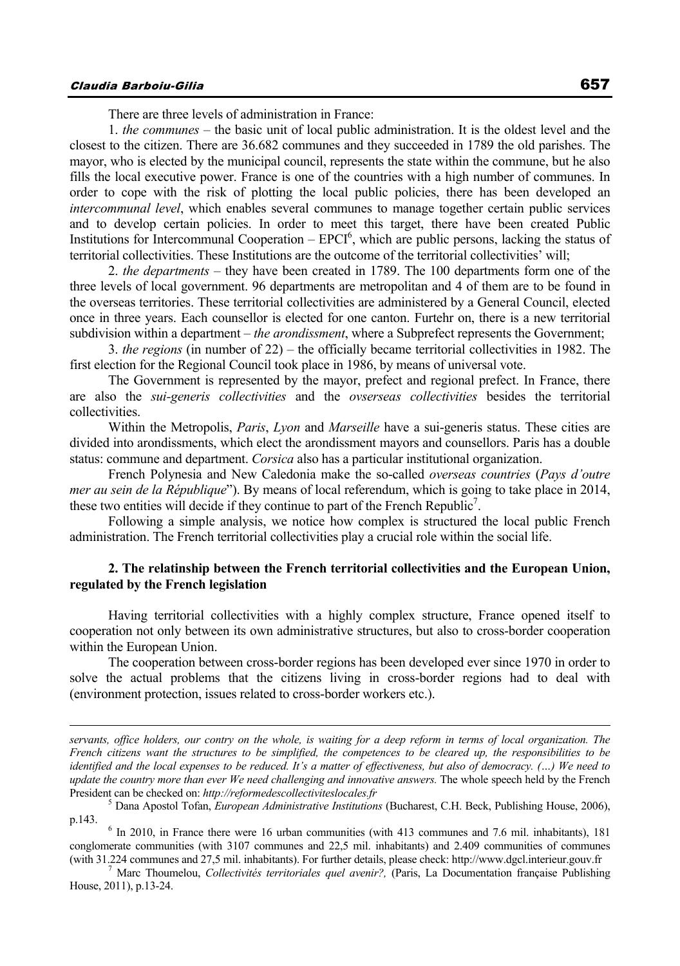$\overline{a}$ 

There are three levels of administration in France:

1. *the communes* – the basic unit of local public administration. It is the oldest level and the closest to the citizen. There are 36.682 communes and they succeeded in 1789 the old parishes. The mayor, who is elected by the municipal council, represents the state within the commune, but he also fills the local executive power. France is one of the countries with a high number of communes. In order to cope with the risk of plotting the local public policies, there has been developed an *intercommunal level*, which enables several communes to manage together certain public services and to develop certain policies. In order to meet this target, there have been created Public Institutions for Intercommunal Cooperation  $-$  EPCI $<sup>6</sup>$ , which are public persons, lacking the status of</sup> territorial collectivities. These Institutions are the outcome of the territorial collectivities' will;

2. *the departments* – they have been created in 1789. The 100 departments form one of the three levels of local government. 96 departments are metropolitan and 4 of them are to be found in the overseas territories. These territorial collectivities are administered by a General Council, elected once in three years. Each counsellor is elected for one canton. Furtehr on, there is a new territorial subdivision within a department – *the arondissment*, where a Subprefect represents the Government;

3. *the regions* (in number of 22) – the officially became territorial collectivities in 1982. The first election for the Regional Council took place in 1986, by means of universal vote.

The Government is represented by the mayor, prefect and regional prefect. In France, there are also the *sui-generis collectivities* and the *ovserseas collectivities* besides the territorial collectivities.

Within the Metropolis, *Paris*, *Lyon* and *Marseille* have a sui-generis status. These cities are divided into arondissments, which elect the arondissment mayors and counsellors. Paris has a double status: commune and department. *Corsica* also has a particular institutional organization.

French Polynesia and New Caledonia make the so-called *overseas countries* (*Pays d'outre mer au sein de la République*"). By means of local referendum, which is going to take place in 2014, these two entities will decide if they continue to part of the French Republic<sup>7</sup>.

Following a simple analysis, we notice how complex is structured the local public French administration. The French territorial collectivities play a crucial role within the social life.

# **2. The relatinship between the French territorial collectivities and the European Union, regulated by the French legislation**

Having territorial collectivities with a highly complex structure, France opened itself to cooperation not only between its own administrative structures, but also to cross-border cooperation within the European Union.

The cooperation between cross-border regions has been developed ever since 1970 in order to solve the actual problems that the citizens living in cross-border regions had to deal with (environment protection, issues related to cross-border workers etc.).

*servants, office holders, our contry on the whole, is waiting for a deep reform in terms of local organization. The French citizens want the structures to be simplified, the competences to be cleared up, the responsibilities to be identified and the local expenses to be reduced. It's a matter of effectiveness, but also of democracy. (…) We need to update the country more than ever We need challenging and innovative answers.* The whole speech held by the French President can be checked on: *http://reformedescollectiviteslocales.fr* <sup>5</sup>

Dana Apostol Tofan, *European Administrative Institutions* (Bucharest, C.H. Beck, Publishing House, 2006), p.143.

 $6$  In 2010, in France there were 16 urban communities (with 413 communes and 7.6 mil. inhabitants), 181 conglomerate communities (with 3107 communes and 22,5 mil. inhabitants) and 2.409 communities of communes (with 31.224 communes and 27,5 mil. inhabitants). For further details, please check: http://www.dgcl.interieur.gouv.fr 7

Marc Thoumelou, *Collectivités territoriales quel avenir?,* (Paris, La Documentation française Publishing House, 2011), p.13-24.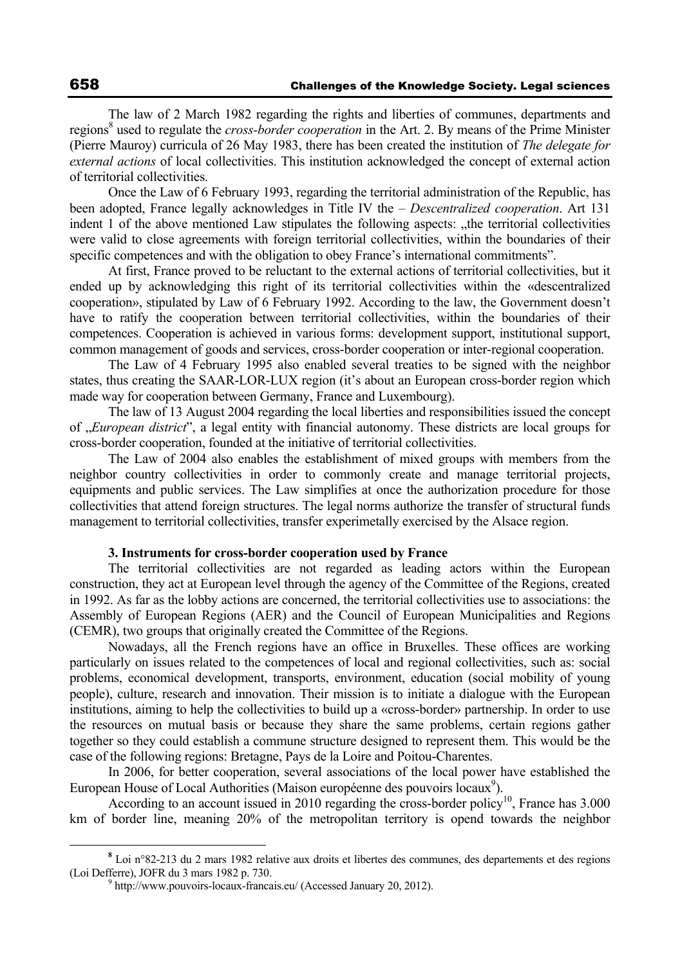The law of 2 March 1982 regarding the rights and liberties of communes, departments and regions<sup>8</sup> used to regulate the *cross-border cooperation* in the Art. 2. By means of the Prime Minister (Pierre Mauroy) curricula of 26 May 1983, there has been created the institution of *The delegate for external actions* of local collectivities. This institution acknowledged the concept of external action of territorial collectivities.

Once the Law of 6 February 1993, regarding the territorial administration of the Republic, has been adopted, France legally acknowledges in Title IV the – *Descentralized cooperation*. Art 131 indent 1 of the above mentioned Law stipulates the following aspects: "the territorial collectivities" were valid to close agreements with foreign territorial collectivities, within the boundaries of their specific competences and with the obligation to obey France's international commitments".

At first, France proved to be reluctant to the external actions of territorial collectivities, but it ended up by acknowledging this right of its territorial collectivities within the «descentralized cooperation», stipulated by Law of 6 February 1992. According to the law, the Government doesn't have to ratify the cooperation between territorial collectivities, within the boundaries of their competences. Cooperation is achieved in various forms: development support, institutional support, common management of goods and services, cross-border cooperation or inter-regional cooperation.

The Law of 4 February 1995 also enabled several treaties to be signed with the neighbor states, thus creating the SAAR-LOR-LUX region (it's about an European cross-border region which made way for cooperation between Germany, France and Luxembourg).

The law of 13 August 2004 regarding the local liberties and responsibilities issued the concept of "*European district*", a legal entity with financial autonomy. These districts are local groups for cross-border cooperation, founded at the initiative of territorial collectivities.

The Law of 2004 also enables the establishment of mixed groups with members from the neighbor country collectivities in order to commonly create and manage territorial projects, equipments and public services. The Law simplifies at once the authorization procedure for those collectivities that attend foreign structures. The legal norms authorize the transfer of structural funds management to territorial collectivities, transfer experimetally exercised by the Alsace region.

#### **3. Instruments for cross-border cooperation used by France**

The territorial collectivities are not regarded as leading actors within the European construction, they act at European level through the agency of the Committee of the Regions, created in 1992. As far as the lobby actions are concerned, the territorial collectivities use to associations: the Assembly of European Regions (AER) and the Council of European Municipalities and Regions (CEMR), two groups that originally created the Committee of the Regions.

Nowadays, all the French regions have an office in Bruxelles. These offices are working particularly on issues related to the competences of local and regional collectivities, such as: social problems, economical development, transports, environment, education (social mobility of young people), culture, research and innovation. Their mission is to initiate a dialogue with the European institutions, aiming to help the collectivities to build up a «cross-border» partnership. In order to use the resources on mutual basis or because they share the same problems, certain regions gather together so they could establish a commune structure designed to represent them. This would be the case of the following regions: Bretagne, Pays de la Loire and Poitou-Charentes.

In 2006, for better cooperation, several associations of the local power have established the European House of Local Authorities (Maison européenne des pouvoirs locaux<sup>9</sup>).

According to an account issued in 2010 regarding the cross-border policy<sup>10</sup>, France has  $3.000$ km of border line, meaning 20% of the metropolitan territory is opend towards the neighbor

**<sup>8</sup>** Loi n°82-213 du 2 mars 1982 relative aux droits et libertes des communes, des departements et des regions (Loi Defferre), JOFR du 3 mars 1982 p. 730.

 $9$  http://www.pouvoirs-locaux-francais.eu/ (Accessed January 20, 2012).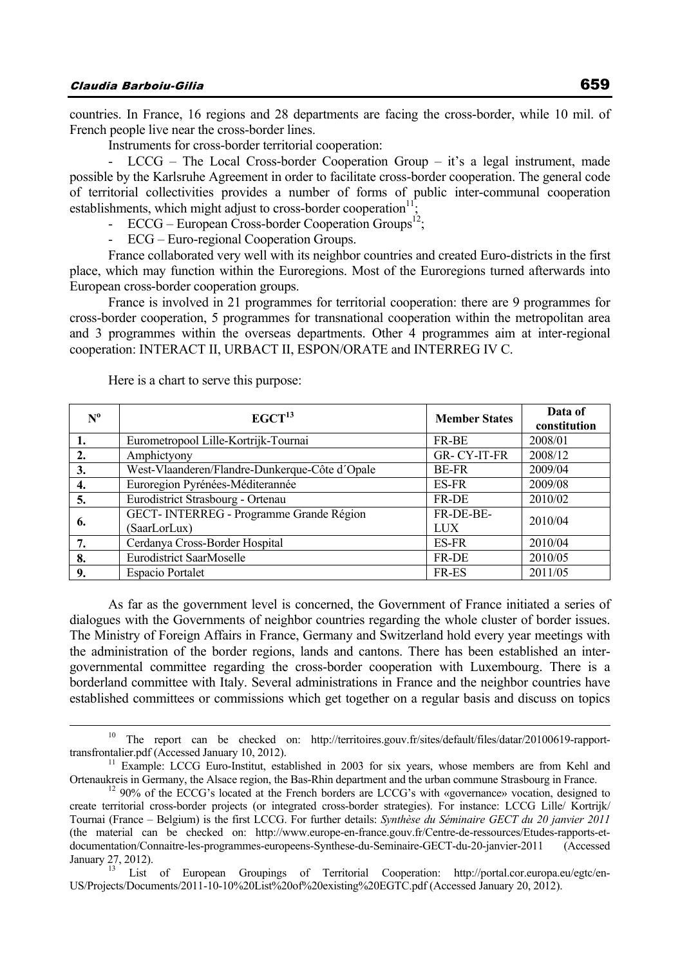countries. In France, 16 regions and 28 departments are facing the cross-border, while 10 mil. of French people live near the cross-border lines.

Instruments for cross-border territorial cooperation:

 $LCCG$  – The Local Cross-border Cooperation Group – it's a legal instrument, made possible by the Karlsruhe Agreement in order to facilitate cross-border cooperation. The general code of territorial collectivities provides a number of forms of public inter-communal cooperation establishments, which might adjust to cross-border cooperation<sup>11</sup>;

- ECCG – European Cross-border Cooperation Groups<sup>12</sup>;

- ECG – Euro-regional Cooperation Groups.

France collaborated very well with its neighbor countries and created Euro-districts in the first place, which may function within the Euroregions. Most of the Euroregions turned afterwards into European cross-border cooperation groups.

France is involved in 21 programmes for territorial cooperation: there are 9 programmes for cross-border cooperation, 5 programmes for transnational cooperation within the metropolitan area and 3 programmes within the overseas departments. Other 4 programmes aim at inter-regional cooperation: INTERACT II, URBACT II, ESPON/ORATE and INTERREG IV C.

| $N^{\mathrm{o}}$ | EGCT <sup>13</sup>                                      | <b>Member States</b>    | Data of<br>constitution |
|------------------|---------------------------------------------------------|-------------------------|-------------------------|
|                  | Eurometropool Lille-Kortrijk-Tournai                    | FR-BE                   | 2008/01                 |
| 2.               | Amphictyony                                             | <b>GR-CY-IT-FR</b>      | 2008/12                 |
| 3.               | West-Vlaanderen/Flandre-Dunkerque-Côte d'Opale          | <b>BE-FR</b>            | 2009/04                 |
| 4.               | Euroregion Pyrénées-Méditerannée                        | ES-FR                   | 2009/08                 |
| 5.               | Eurodistrict Strasbourg - Ortenau                       | <b>FR-DE</b>            | 2010/02                 |
| 6.               | GECT-INTERREG - Programme Grande Région<br>(SaarLorLux) | FR-DE-BE-<br><b>LUX</b> | 2010/04                 |
| 7.               | Cerdanya Cross-Border Hospital                          | ES-FR                   | 2010/04                 |
| 8.               | <b>Eurodistrict SaarMoselle</b>                         | <b>FR-DE</b>            | 2010/05                 |
| 9.               | <b>Espacio Portalet</b>                                 | FR-ES                   | 2011/05                 |

Here is a chart to serve this purpose:

As far as the government level is concerned, the Government of France initiated a series of dialogues with the Governments of neighbor countries regarding the whole cluster of border issues. The Ministry of Foreign Affairs in France, Germany and Switzerland hold every year meetings with the administration of the border regions, lands and cantons. There has been established an intergovernmental committee regarding the cross-border cooperation with Luxembourg. There is a borderland committee with Italy. Several administrations in France and the neighbor countries have established committees or commissions which get together on a regular basis and discuss on topics

<sup>&</sup>lt;sup>10</sup> The report can be checked on: http://territoires.gouv.fr/sites/default/files/datar/20100619-rapport-

transfrontalier.pdf (Accessed January 10, 2012).<br><sup>11</sup> Example: LCCG Euro-Institut, established in 2003 for six years, whose members are from Kehl and Ortenaukreis in Germany, the Alsace region, the Bas-Rhin department and

<sup>&</sup>lt;sup>12</sup> 90% of the ECCG's located at the French borders are LCCG's with «governance» vocation, designed to create territorial cross-border projects (or integrated cross-border strategies). For instance: LCCG Lille/ Kortrijk/ Tournai (France – Belgium) is the first LCCG. For further details: *Synthèse du Séminaire GECT du 20 janvier 2011*  (the material can be checked on: http://www.europe-en-france.gouv.fr/Centre-de-ressources/Etudes-rapports-etdocumentation/Connaitre-les-programmes-europeens-Synthese-du-Seminaire-GECT-du-20-janvier-2011 (Accessed January 27, 2012).<br><sup>13</sup> List of European Groupings of Territorial Cooperation: http://portal.cor.europa.eu/egtc/en-

US/Projects/Documents/2011-10-10%20List%20of%20existing%20EGTC.pdf (Accessed January 20, 2012).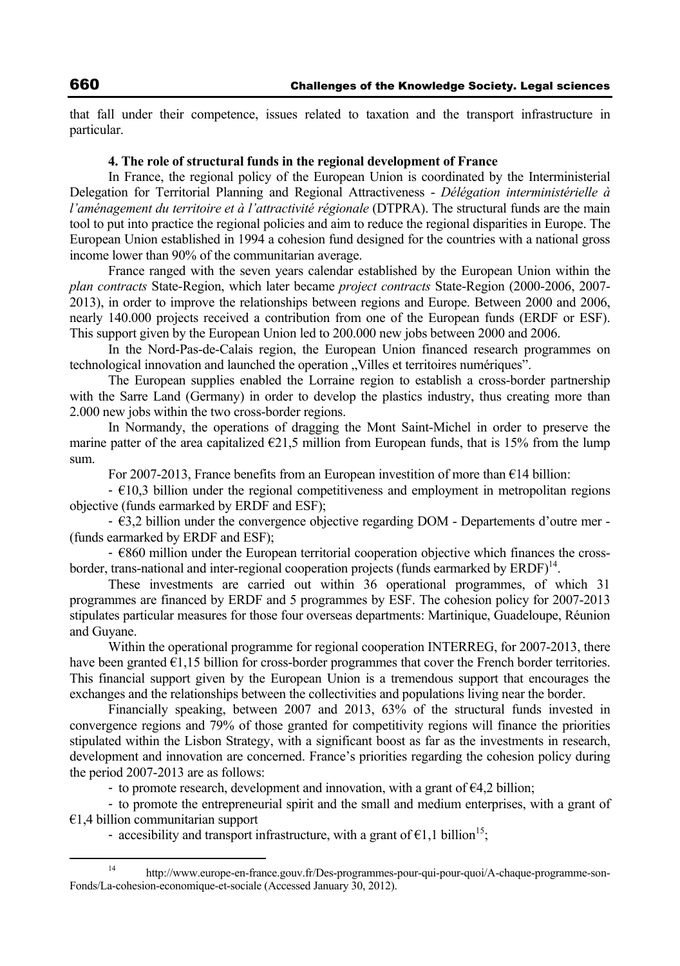that fall under their competence, issues related to taxation and the transport infrastructure in particular.

#### **4. The role of structural funds in the regional development of France**

In France, the regional policy of the European Union is coordinated by the Interministerial Delegation for Territorial Planning and Regional Attractiveness - *Délégation interministérielle à l'aménagement du territoire et à l'attractivité régionale* (DTPRA). The structural funds are the main tool to put into practice the regional policies and aim to reduce the regional disparities in Europe. The European Union established in 1994 a cohesion fund designed for the countries with a national gross income lower than 90% of the communitarian average.

France ranged with the seven years calendar established by the European Union within the *plan contracts* State-Region, which later became *project contracts* State-Region (2000-2006, 2007- 2013), in order to improve the relationships between regions and Europe. Between 2000 and 2006, nearly 140.000 projects received a contribution from one of the European funds (ERDF or ESF). This support given by the European Union led to 200.000 new jobs between 2000 and 2006.

In the Nord-Pas-de-Calais region, the European Union financed research programmes on technological innovation and launched the operation "Villes et territoires numériques".

The European supplies enabled the Lorraine region to establish a cross-border partnership with the Sarre Land (Germany) in order to develop the plastics industry, thus creating more than 2.000 new jobs within the two cross-border regions.

In Normandy, the operations of dragging the Mont Saint-Michel in order to preserve the marine patter of the area capitalized  $\epsilon$ 21,5 million from European funds, that is 15% from the lump sum.

For 2007-2013, France benefits from an European investition of more than €14 billion:

 $\div$  E10.3 billion under the regional competitiveness and employment in metropolitan regions objective (funds earmarked by ERDF and ESF);

- €3,2 billion under the convergence objective regarding DOM - Departements d'outre mer - (funds earmarked by ERDF and ESF);

- €860 million under the European territorial cooperation objective which finances the crossborder, trans-national and inter-regional cooperation projects (funds earmarked by  $ERDF$ )<sup>14</sup>.

These investments are carried out within 36 operational programmes, of which 31 programmes are financed by ERDF and 5 programmes by ESF. The cohesion policy for 2007-2013 stipulates particular measures for those four overseas departments: Martinique, Guadeloupe, Réunion and Guyane.

Within the operational programme for regional cooperation INTERREG, for 2007-2013, there have been granted  $\epsilon$ 1,15 billion for cross-border programmes that cover the French border territories. This financial support given by the European Union is a tremendous support that encourages the exchanges and the relationships between the collectivities and populations living near the border.

Financially speaking, between 2007 and 2013, 63% of the structural funds invested in convergence regions and 79% of those granted for competitivity regions will finance the priorities stipulated within the Lisbon Strategy, with a significant boost as far as the investments in research, development and innovation are concerned. France's priorities regarding the cohesion policy during the period 2007-2013 are as follows:

- to promote research, development and innovation, with a grant of  $\epsilon$ 4,2 billion;

- to promote the entrepreneurial spirit and the small and medium enterprises, with a grant of €1,4 billion communitarian support

- accesibility and transport infrastructure, with a grant of  $\epsilon$ 1,1 billion<sup>15</sup>;

 <sup>14</sup> http://www.europe-en-france.gouv.fr/Des-programmes-pour-qui-pour-quoi/A-chaque-programme-son-Fonds/La-cohesion-economique-et-sociale (Accessed January 30, 2012).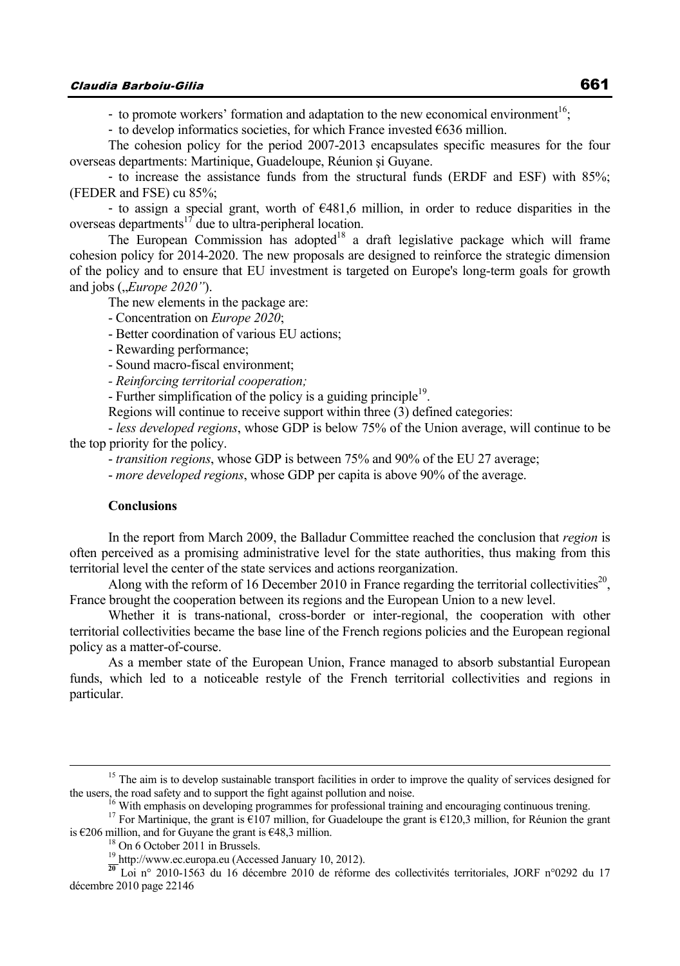- to promote workers' formation and adaptation to the new economical environment<sup>16</sup>;

- to develop informatics societies, for which France invested  $€636$  million.

The cohesion policy for the period 2007-2013 encapsulates specific measures for the four overseas departments: Martinique, Guadeloupe, Réunion şi Guyane.

- to increase the assistance funds from the structural funds (ERDF and ESF) with 85%; (FEDER and FSE) cu 85%;

- to assign a special grant, worth of €481,6 million, in order to reduce disparities in the overseas departments<sup>17</sup> due to ultra-peripheral location.

The European Commission has adopted<sup>18</sup> a draft legislative package which will frame cohesion policy for 2014-2020. The new proposals are designed to reinforce the strategic dimension of the policy and to ensure that EU investment is targeted on Europe's long-term goals for growth and jobs (*"Europe 2020"*).

The new elements in the package are:

- Concentration on *Europe 2020*;

- Better coordination of various EU actions;

- Rewarding performance;

- Sound macro-fiscal environment;

*- Reinforcing territorial cooperation;* 

- Further simplification of the policy is a guiding principle<sup>19</sup>.

Regions will continue to receive support within three (3) defined categories:

- *less developed regions*, whose GDP is below 75% of the Union average, will continue to be the top priority for the policy.

- *transition regions*, whose GDP is between 75% and 90% of the EU 27 average;

- *more developed regions*, whose GDP per capita is above 90% of the average.

#### **Conclusions**

In the report from March 2009, the Balladur Committee reached the conclusion that *region* is often perceived as a promising administrative level for the state authorities, thus making from this territorial level the center of the state services and actions reorganization.

Along with the reform of 16 December 2010 in France regarding the territorial collectivities<sup>20</sup>, France brought the cooperation between its regions and the European Union to a new level.

Whether it is trans-national, cross-border or inter-regional, the cooperation with other territorial collectivities became the base line of the French regions policies and the European regional policy as a matter-of-course.

As a member state of the European Union, France managed to absorb substantial European funds, which led to a noticeable restyle of the French territorial collectivities and regions in particular.

<sup>&</sup>lt;sup>15</sup> The aim is to develop sustainable transport facilities in order to improve the quality of services designed for the users, the road safety and to support the fight against pollution and noise.

<sup>&</sup>lt;sup>16</sup> With emphasis on developing programmes for professional training and encouraging continuous trening.<br><sup>17</sup> For Martinique, the grant is  $\epsilon$ 107 million, for Guadeloupe the grant is  $\epsilon$ 120,3 million, for Réunion the g

is  $6206$  million, and for Guyane the grant is  $648,3$  million.<br><sup>18</sup> On 6 October 2011 in Brussels.<br><sup>19</sup> http://www.ec.europa.eu (Accessed January 10, 2012).

<sup>&</sup>lt;sup>20</sup> Loi n° 2010-1563 du 16 décembre 2010 de réforme des collectivités territoriales, JORF n°0292 du 17 décembre 2010 page 22146